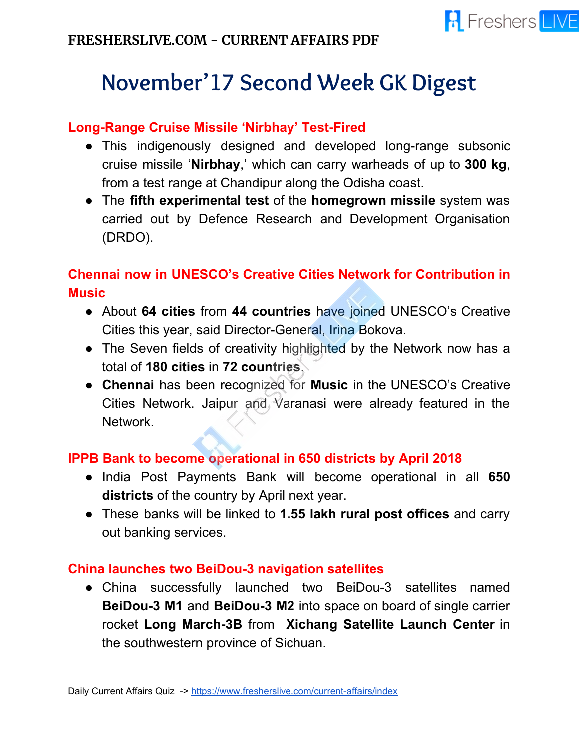# **November'17 Second Week GK Digest**

#### **Long-Range Cruise Missile 'Nirbhay' Test-Fired**

- This indigenously designed and developed long-range subsonic cruise missile '**Nirbhay**,' which can carry warheads of up to **300 kg**, from a test range at Chandipur along the Odisha coast.
- The **fifth experimental test** of the **homegrown missile** system was carried out by Defence Research and Development Organisation (DRDO).

## **Chennai now in UNESCO's Creative Cities Network for Contribution in Music**

- About **64 cities** from **44 countries** have joined UNESCO's Creative Cities this year, said Director-General, Irina Bokova.
- The Seven fields of creativity highlighted by the Network now has a total of **180 cities** in **72 countries**.
- **Chennai** has been recognized for **Music** in the UNESCO's Creative Cities Network. Jaipur and Varanasi were already featured in the Network.

#### **IPPB Bank to become operational in 650 districts by April 2018**

- India Post Payments Bank will become operational in all **650 districts** of the country by April next year.
- These banks will be linked to **1.55 lakh rural post offices** and carry out banking services.

#### **China launches two BeiDou-3 navigation satellites**

● China successfully launched two BeiDou-3 satellites named **BeiDou-3 M1** and **BeiDou-3 M2** into space on board of single carrier rocket **Long March-3B** from **Xichang Satellite Launch Center** in the southwestern province of Sichuan.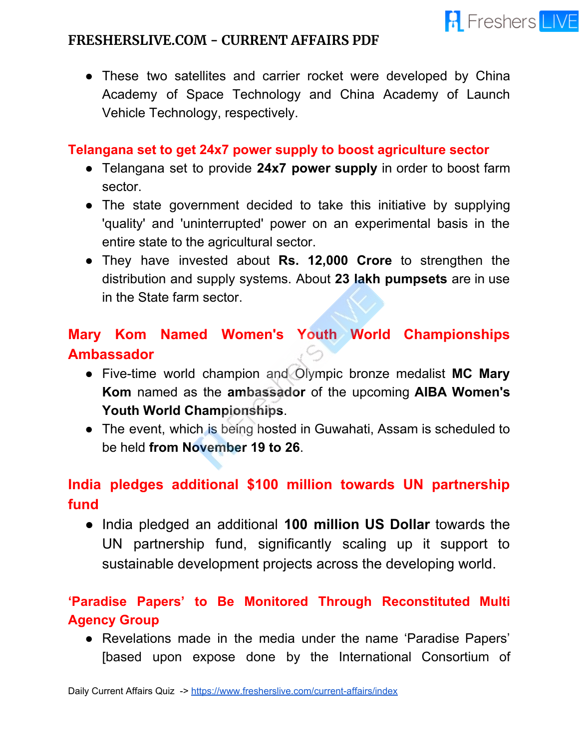

• These two satellites and carrier rocket were developed by China Academy of Space Technology and China Academy of Launch Vehicle Technology, respectively.

#### **Telangana set to get 24x7 power supply to boost agriculture sector**

- Telangana set to provide **24x7 power supply** in order to boost farm sector.
- The state government decided to take this initiative by supplying 'quality' and 'uninterrupted' power on an experimental basis in the entire state to the agricultural sector.
- They have invested about **Rs. 12,000 Crore** to strengthen the distribution and supply systems. About **23 lakh pumpsets** are in use in the State farm sector.

## **Mary Kom Named Women's Youth World Championships Ambassador**

- Five-time world champion and Olympic bronze medalist **MC Mary Kom** named as the **ambassador** of the upcoming **AIBA Women's Youth World Championships**.
- The event, which is being hosted in Guwahati, Assam is scheduled to be held **from November 19 to 26**.

## **India pledges additional \$100 million towards UN partnership fund**

● India pledged an additional **100 million US Dollar** towards the UN partnership fund, significantly scaling up it support to sustainable development projects across the developing world.

## **'Paradise Papers' to Be Monitored Through Reconstituted Multi Agency Group**

● Revelations made in the media under the name 'Paradise Papers' [based upon expose done by the International Consortium of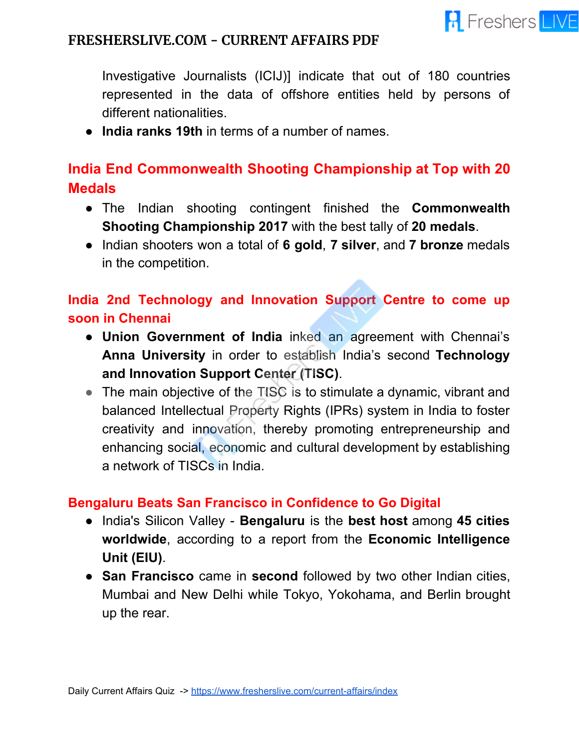

Investigative Journalists (ICIJ)] indicate that out of 180 countries represented in the data of offshore entities held by persons of different nationalities.

● **India ranks 19th** in terms of a number of names.

## **India End Commonwealth Shooting Championship at Top with 20 Medals**

- The Indian shooting contingent finished the **Commonwealth Shooting Championship 2017** with the best tally of **20 medals**.
- Indian shooters won a total of **6 gold**, **7 silver**, and **7 bronze** medals in the competition.

## **India 2nd Technology and Innovation Support Centre to come up soon in Chennai**

- **Union Government of India** inked an agreement with Chennai's **Anna University** in order to establish India's second **Technology and Innovation Support Center (TISC)**.
- The main objective of the TISC is to stimulate a dynamic, vibrant and balanced Intellectual Property Rights (IPRs) system in India to foster creativity and innovation, thereby promoting entrepreneurship and enhancing social, economic and cultural development by establishing a network of TISCs in India.

#### **Bengaluru Beats San Francisco in Confidence to Go Digital**

- India's Silicon Valley **Bengaluru** is the **best host** among **45 cities worldwide**, according to a report from the **Economic Intelligence Unit (EIU)**.
- **San Francisco** came in **second** followed by two other Indian cities, Mumbai and New Delhi while Tokyo, Yokohama, and Berlin brought up the rear.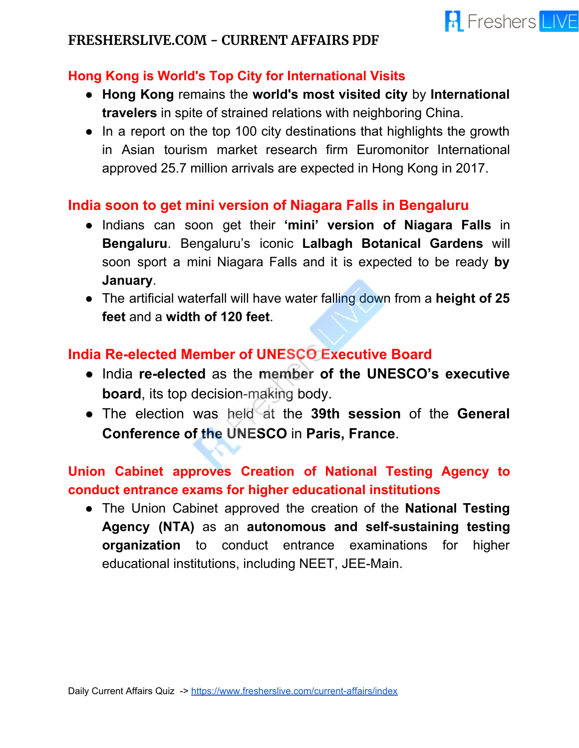#### **Hong Kong is World's Top City for International Visits**

● **Hong Kong** remains the **world's most visited city** by **International travelers** in spite of strained relations with neighboring China.

**R** Freshers LIVE

• In a report on the top 100 city destinations that highlights the growth in Asian tourism market research firm Euromonitor International approved 25.7 million arrivals are expected in Hong Kong in 2017.

#### **India soon to get mini version of Niagara Falls in Bengaluru**

- Indians can soon get their **'mini' version of Niagara Falls** in **Bengaluru**. Bengaluru's iconic **Lalbagh Botanical Gardens** will soon sport a mini Niagara Falls and it is expected to be ready **by January**.
- The artificial waterfall will have water falling down from a **height of 25 feet** and a **width of 120 feet**.

## **India Re-elected Member of UNESCO Executive Board**

- India **re-elected** as the **member of the UNESCO's executive board**, its top decision-making body.
- The election was held at the **39th session** of the **General Conference of the UNESCO** in **Paris, France**.

## **Union Cabinet approves Creation of National Testing Agency to conduct entrance exams for higher educational institutions**

● The Union Cabinet approved the creation of the **National Testing Agency (NTA)** as an **autonomous and self-sustaining testing organization** to conduct entrance examinations for higher educational institutions, including NEET, JEE-Main.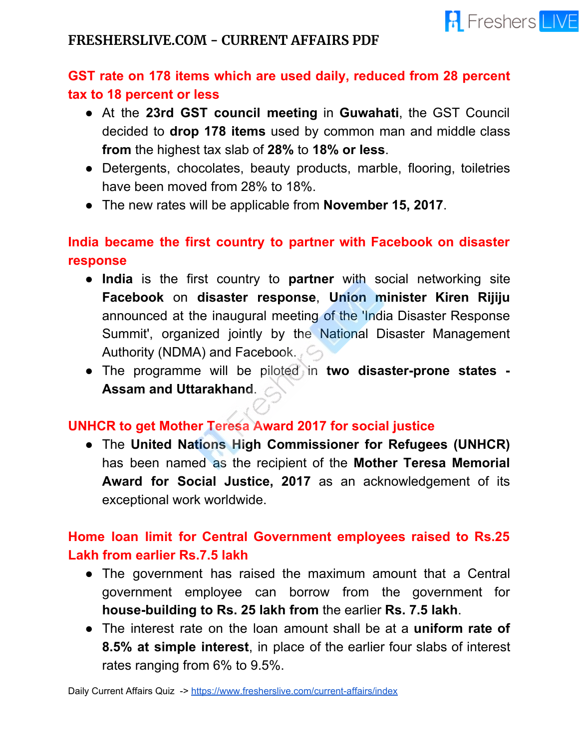

## **GST rate on 178 items which are used daily, reduced from 28 percent tax to 18 percent or less**

- At the **23rd GST council meeting** in **Guwahati**, the GST Council decided to **drop 178 items** used by common man and middle class **from** the highest tax slab of **28%** to **18% or less**.
- Detergents, chocolates, beauty products, marble, flooring, toiletries have been moved from 28% to 18%.
- The new rates will be applicable from **November 15, 2017**.

## **India became the first country to partner with Facebook on disaster response**

- **India** is the first country to **partner** with social networking site **Facebook** on **disaster response**, **Union minister Kiren Rijiju** announced at the inaugural meeting of the 'India Disaster Response Summit', organized jointly by the National Disaster Management Authority (NDMA) and Facebook.
- The programme will be piloted in **two disaster-prone states - Assam and Uttarakhand**.

#### **UNHCR to get Mother Teresa Award 2017 for social justice**

● The **United Nations High Commissioner for Refugees (UNHCR)** has been named as the recipient of the **Mother Teresa Memorial Award for Social Justice, 2017** as an acknowledgement of its exceptional work worldwide.

## **Home loan limit for Central Government employees raised to Rs.25 Lakh from earlier Rs.7.5 lakh**

- The government has raised the maximum amount that a Central government employee can borrow from the government for **house-building to Rs. 25 lakh from** the earlier **Rs. 7.5 lakh**.
- The interest rate on the loan amount shall be at a **uniform rate of 8.5% at simple interest**, in place of the earlier four slabs of interest rates ranging from 6% to 9.5%.